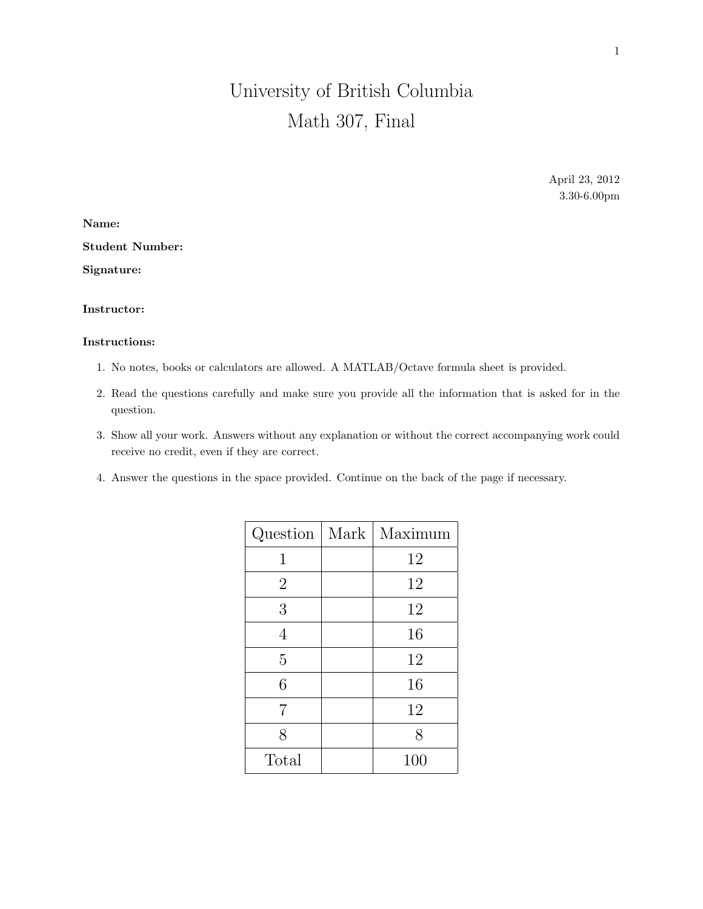## University of British Columbia Math 307, Final

April 23, 2012 3.30-6.00pm

Name: Student Number:

Signature:

## Instructor:

## Instructions:

- 1. No notes, books or calculators are allowed. A MATLAB/Octave formula sheet is provided.
- 2. Read the questions carefully and make sure you provide all the information that is asked for in the question.
- 3. Show all your work. Answers without any explanation or without the correct accompanying work could receive no credit, even if they are correct.
- 4. Answer the questions in the space provided. Continue on the back of the page if necessary.

|                | Question   Mark   Maximum |
|----------------|---------------------------|
| 1              | 12                        |
| $\overline{2}$ | 12                        |
| 3              | 12                        |
| $\overline{4}$ | 16                        |
| 5              | 12                        |
| 6              | 16                        |
| 7              | 12                        |
| 8              | 8                         |
| Total          | 100                       |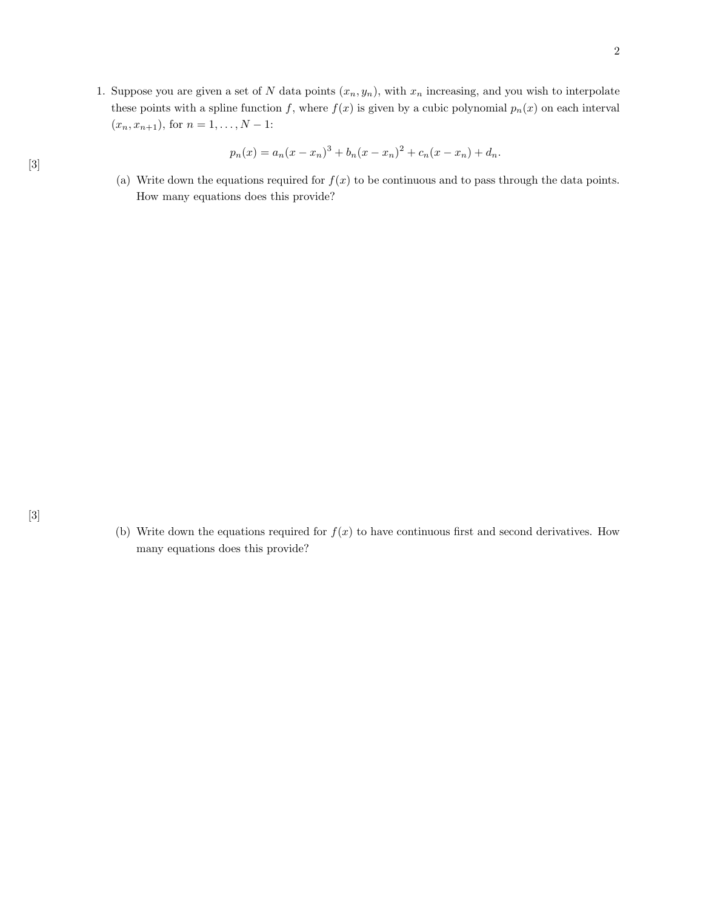1. Suppose you are given a set of N data points  $(x_n, y_n)$ , with  $x_n$  increasing, and you wish to interpolate these points with a spline function f, where  $f(x)$  is given by a cubic polynomial  $p_n(x)$  on each interval  $(x_n, x_{n+1}),$  for  $n = 1, ..., N - 1$ :

$$
p_n(x) = a_n(x - x_n)^3 + b_n(x - x_n)^2 + c_n(x - x_n) + d_n.
$$

(a) Write down the equations required for  $f(x)$  to be continuous and to pass through the data points. How many equations does this provide?

(b) Write down the equations required for  $f(x)$  to have continuous first and second derivatives. How many equations does this provide?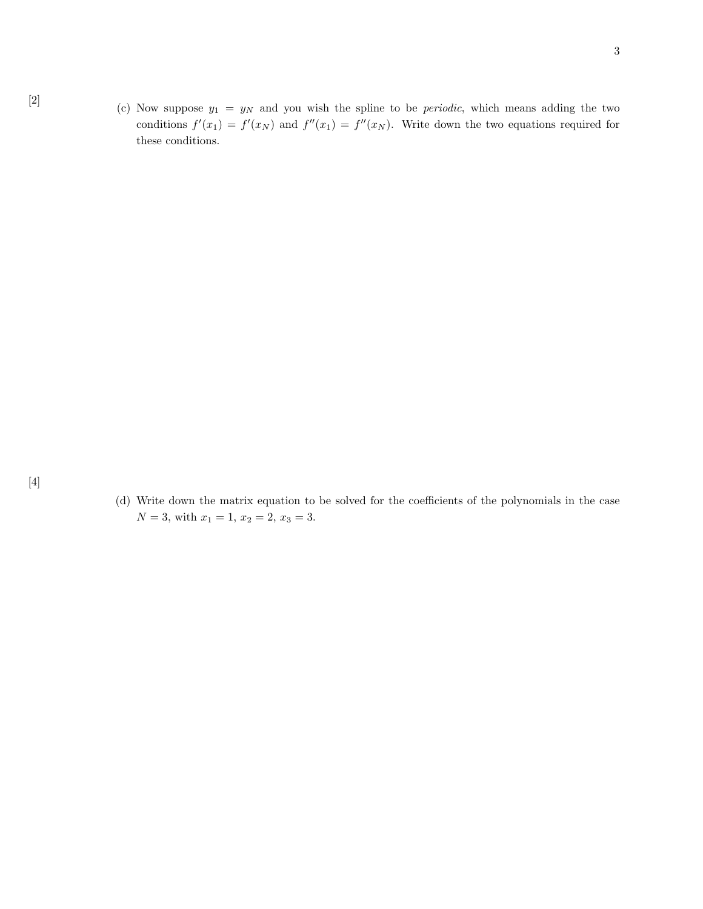(d) Write down the matrix equation to be solved for the coefficients of the polynomials in the case  $N = 3$ , with  $x_1 = 1$ ,  $x_2 = 2$ ,  $x_3 = 3$ .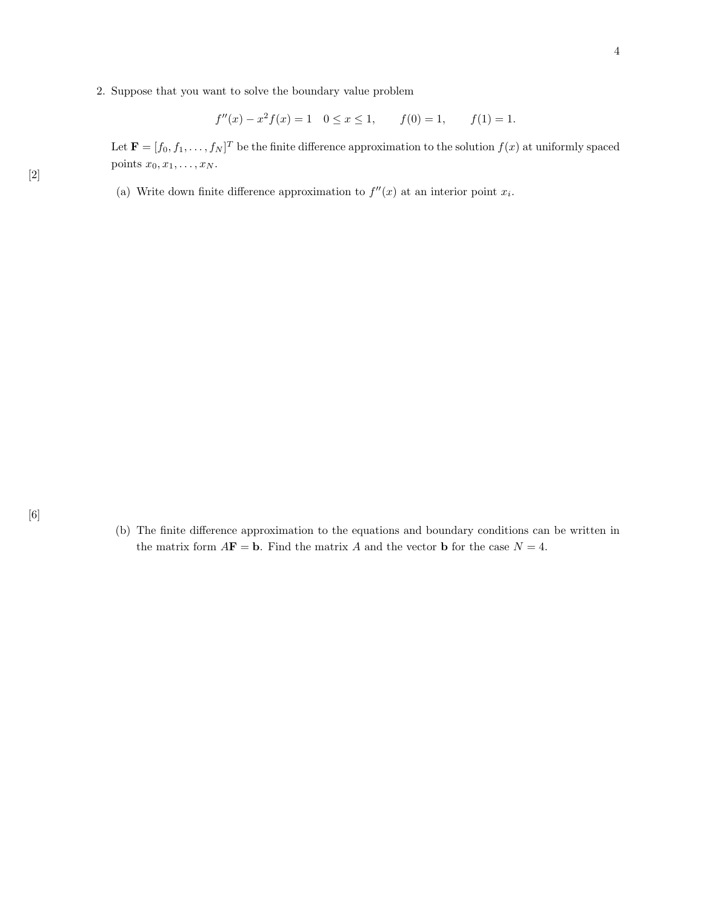2. Suppose that you want to solve the boundary value problem

$$
f''(x) - x^2 f(x) = 1
$$
  $0 \le x \le 1$ ,  $f(0) = 1$ ,  $f(1) = 1$ .

Let  $\mathbf{F} = [f_0, f_1, \dots, f_N]^T$  be the finite difference approximation to the solution  $f(x)$  at uniformly spaced points  $x_0, x_1, \ldots, x_N$ .

(a) Write down finite difference approximation to  $f''(x)$  at an interior point  $x_i$ .

(b) The finite difference approximation to the equations and boundary conditions can be written in the matrix form  $A\mathbf{F} = \mathbf{b}$ . Find the matrix A and the vector **b** for the case  $N = 4$ .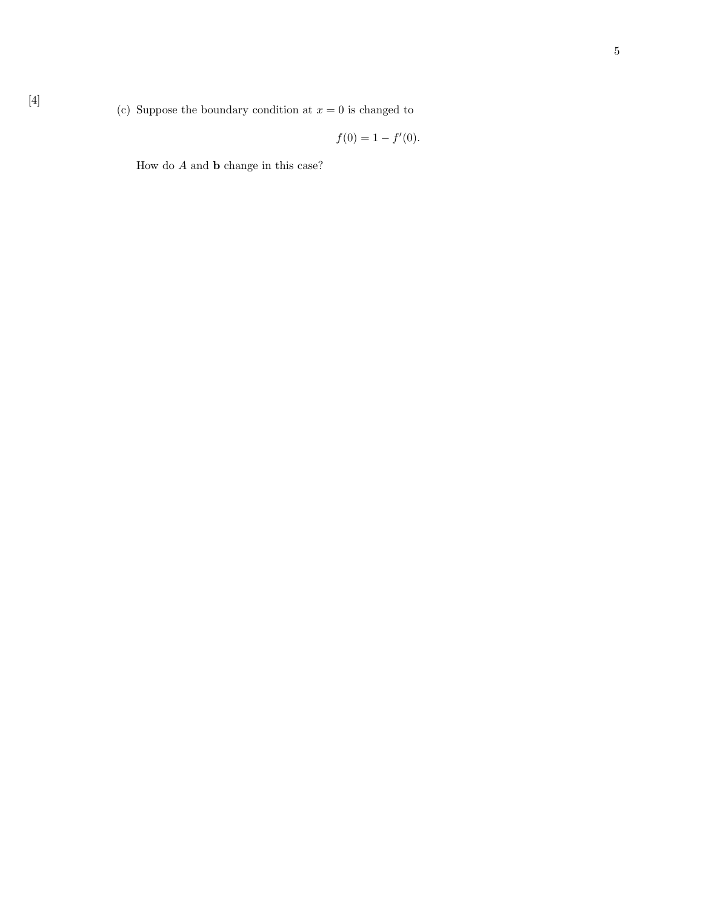$$
f(0) = 1 - f'(0).
$$

How do  $A$  and  $b$  change in this case?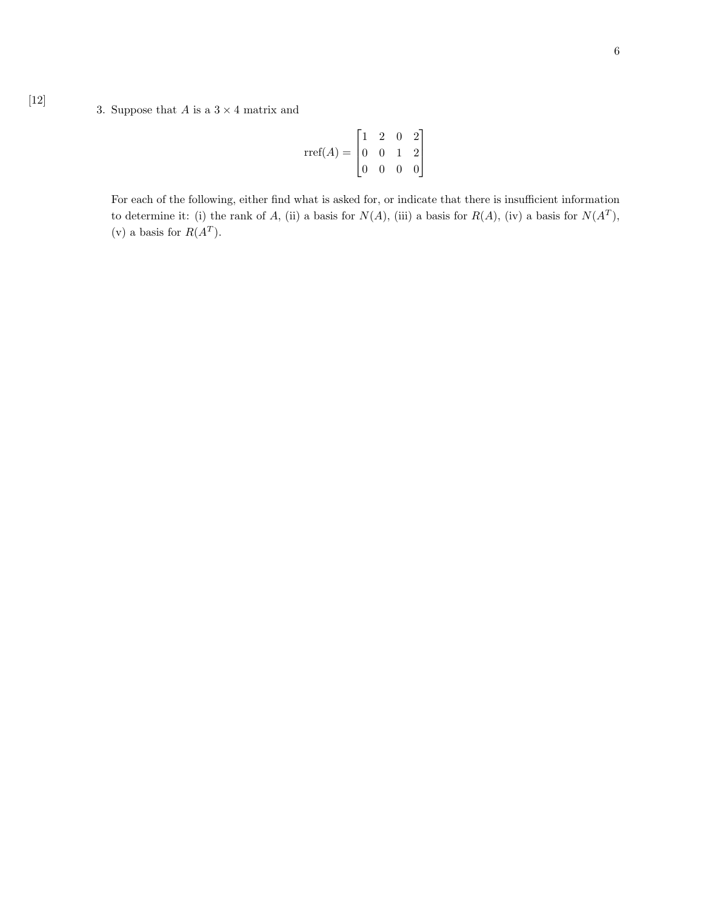## 3. Suppose that  $A$  is a  $3 \times 4$  matrix and

$$
\text{rref}(A) = \begin{bmatrix} 1 & 2 & 0 & 2 \\ 0 & 0 & 1 & 2 \\ 0 & 0 & 0 & 0 \end{bmatrix}
$$

For each of the following, either find what is asked for, or indicate that there is insufficient information to determine it: (i) the rank of A, (ii) a basis for  $N(A)$ , (iii) a basis for  $R(A)$ , (iv) a basis for  $N(A<sup>T</sup>)$ , (v) a basis for  $R(A^T)$ .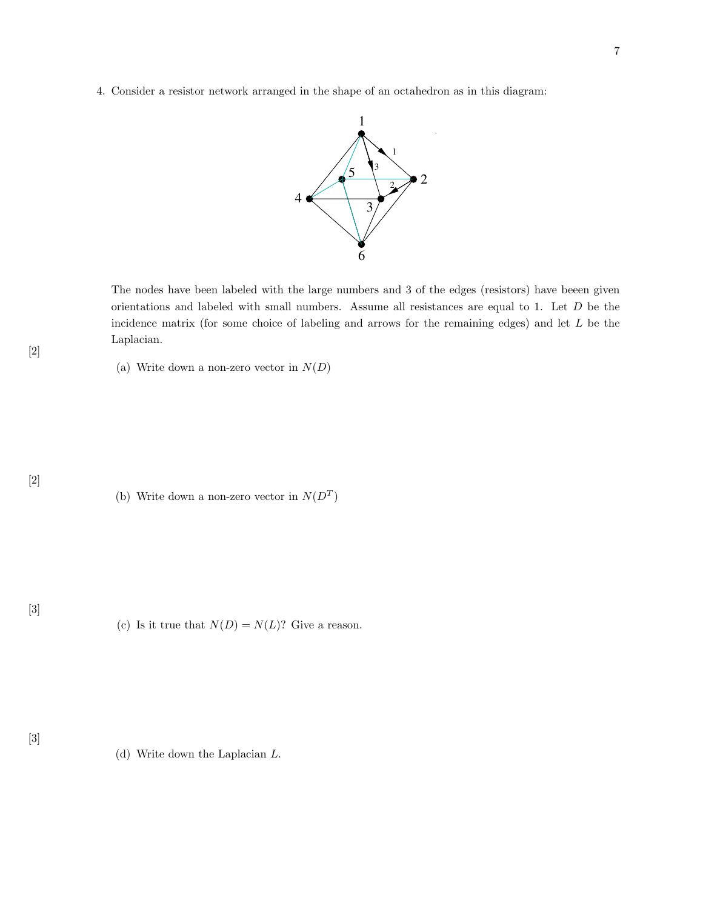4. Consider a resistor network arranged in the shape of an octahedron as in this diagram:



The nodes have been labeled with the large numbers and 3 of the edges (resistors) have beeen given orientations and labeled with small numbers. Assume all resistances are equal to 1. Let  $D$  be the incidence matrix (for some choice of labeling and arrows for the remaining edges) and let  $L$  be the Laplacian.

(a) Write down a non-zero vector in  $N(D)$ 

(b) Write down a non-zero vector in  $N(D<sup>T</sup>)$ 

(c) Is it true that  $N(D) = N(L)$ ? Give a reason.

(d) Write down the Laplacian L.

[2]

[2]

[3]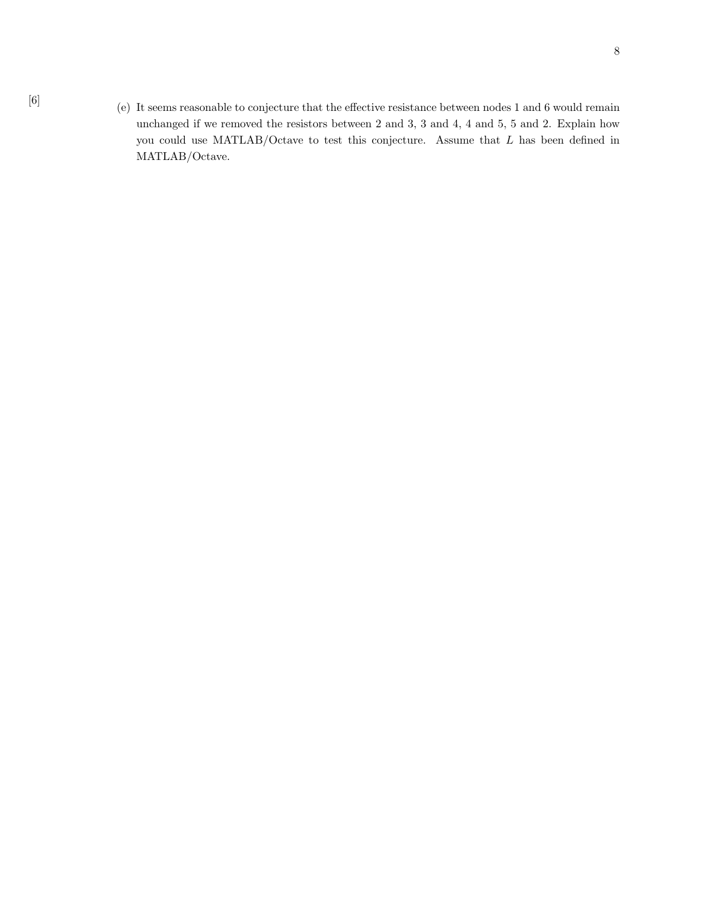[6] (e) It seems reasonable to conjecture that the effective resistance between nodes 1 and 6 would remain unchanged if we removed the resistors between 2 and 3, 3 and 4, 4 and 5, 5 and 2. Explain how you could use MATLAB/Octave to test this conjecture. Assume that L has been defined in MATLAB/Octave.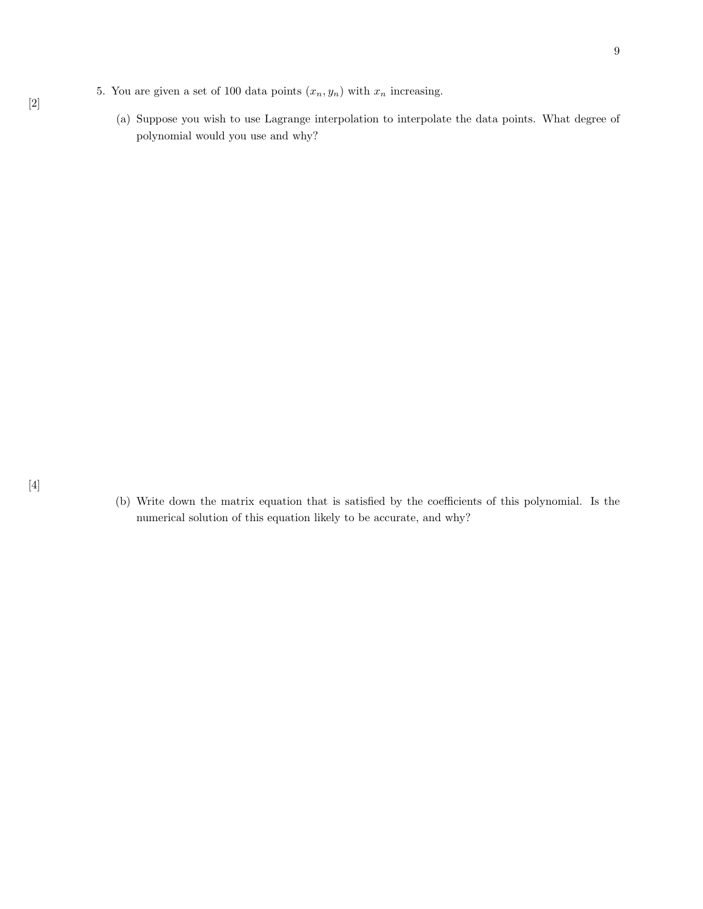- 5. You are given a set of 100 data points  $(x_n, y_n)$  with  $x_n$  increasing.
	- (a) Suppose you wish to use Lagrange interpolation to interpolate the data points. What degree of polynomial would you use and why?

(b) Write down the matrix equation that is satisfied by the coefficients of this polynomial. Is the numerical solution of this equation likely to be accurate, and why?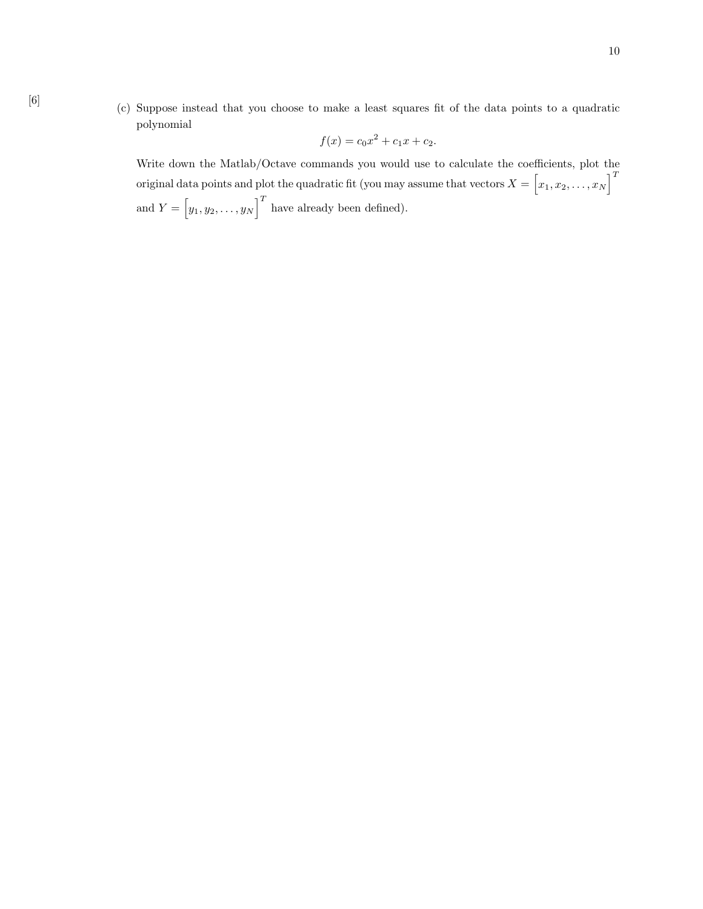[6] (c) Suppose instead that you choose to make a least squares fit of the data points to a quadratic polynomial

$$
f(x) = c_0 x^2 + c_1 x + c_2.
$$

Write down the Matlab/Octave commands you would use to calculate the coefficients, plot the original data points and plot the quadratic fit (you may assume that vectors  $X = \begin{bmatrix} x_1, x_2, \ldots, x_N \end{bmatrix}^T$ and  $Y = [y_1, y_2, \dots, y_N]^T$  have already been defined).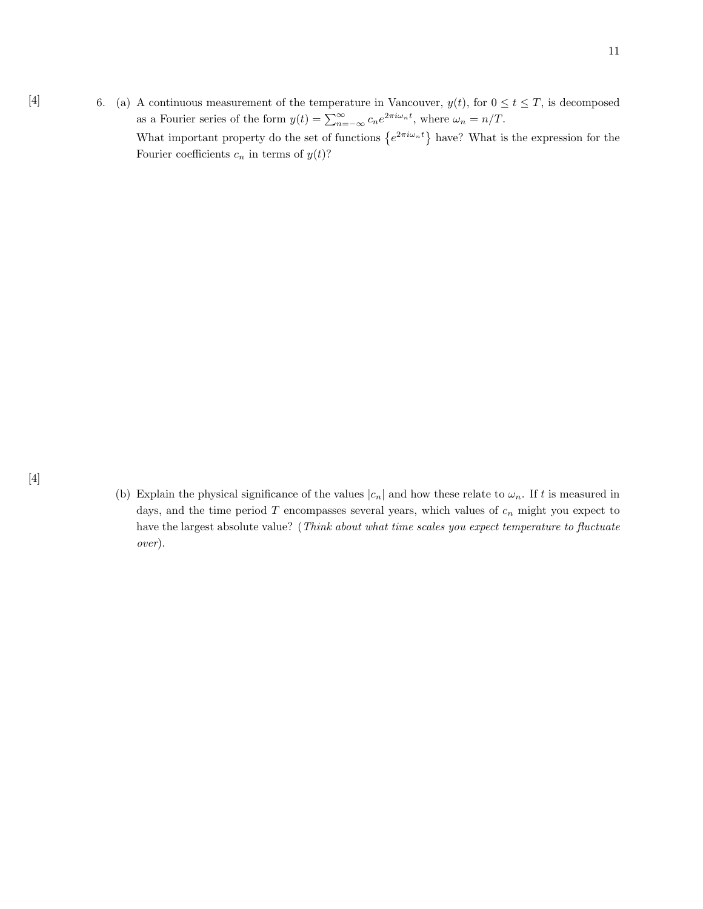[4] 6. (a) A continuous measurement of the temperature in Vancouver,  $y(t)$ , for  $0 \le t \le T$ , is decomposed as a Fourier series of the form  $y(t) = \sum_{n=-\infty}^{\infty} c_n e^{2\pi i \omega_n t}$ , where  $\omega_n = n/T$ . What important property do the set of functions  $\{e^{2\pi i\omega_n t}\}\$  have? What is the expression for the Fourier coefficients  $c_n$  in terms of  $y(t)$ ?

(b) Explain the physical significance of the values  $|c_n|$  and how these relate to  $\omega_n$ . If t is measured in days, and the time period  $T$  encompasses several years, which values of  $c_n$  might you expect to have the largest absolute value? (Think about what time scales you expect temperature to fluctuate over).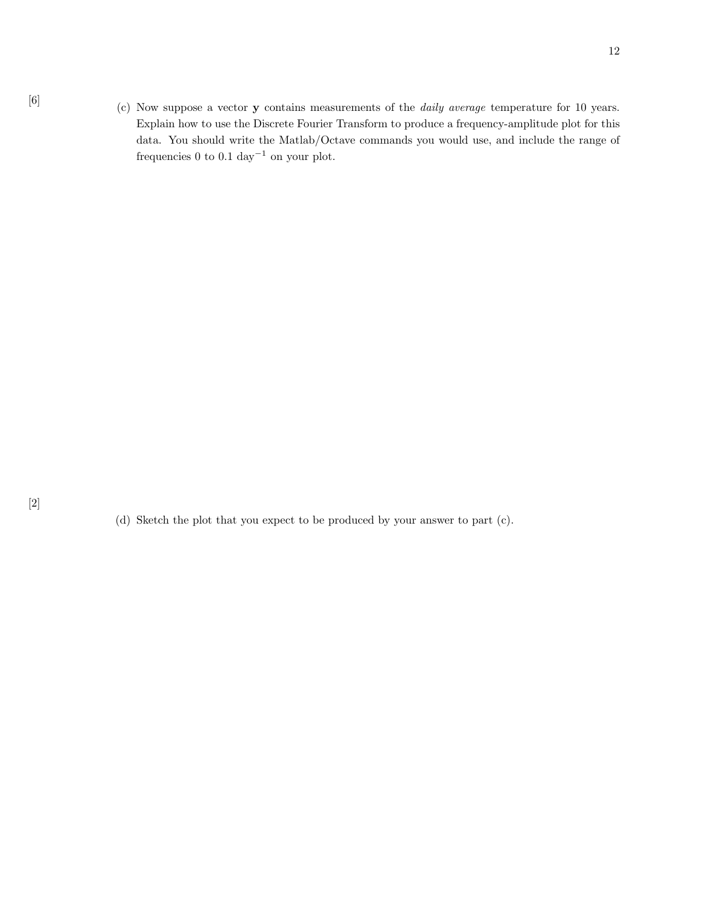[6] (c) Now suppose a vector **y** contains measurements of the *daily average* temperature for 10 years. Explain how to use the Discrete Fourier Transform to produce a frequency-amplitude plot for this data. You should write the Matlab/Octave commands you would use, and include the range of frequencies 0 to 0.1  $\rm day^{-1}$  on your plot.

(d) Sketch the plot that you expect to be produced by your answer to part (c).

[2]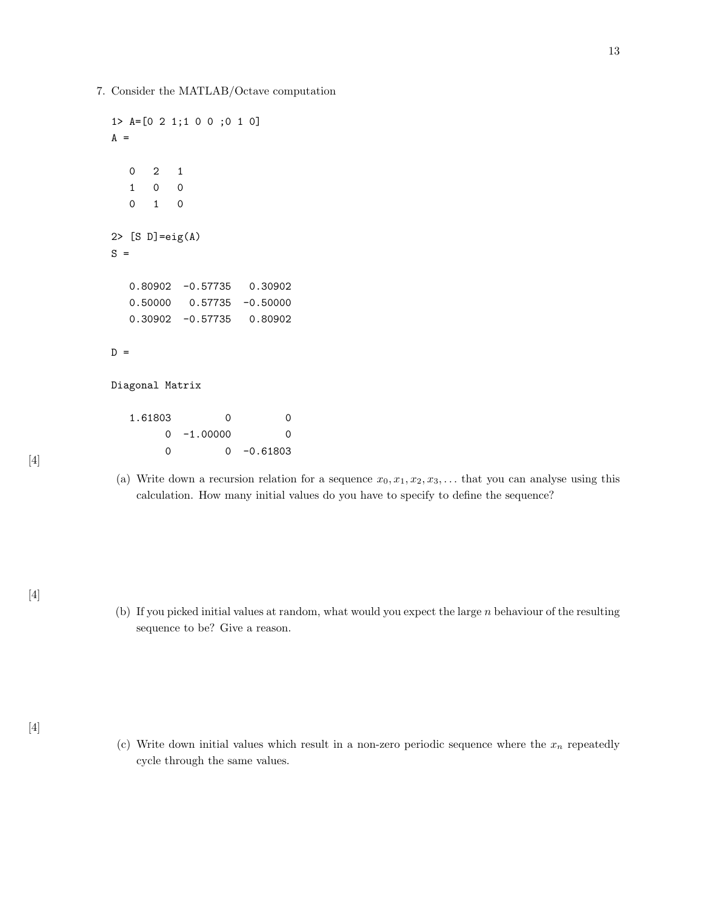7. Consider the MATLAB/Octave computation

```
1> A=[0 2 1;1 0 0 ;0 1 0]
A =0 2 1
  1 0 0
  0 1 0
2> [S D]=eig(A)
S =0.80902 -0.57735 0.30902
  0.50000 0.57735 -0.50000
  0.30902 -0.57735 0.80902
D =Diagonal Matrix
  1.61803 0 0
       0 -1.00000 0
```
0 0 -0.61803

(a) Write down a recursion relation for a sequence  $x_0, x_1, x_2, x_3, \ldots$  that you can analyse using this calculation. How many initial values do you have to specify to define the sequence?

[4]

(b) If you picked initial values at random, what would you expect the large n behaviour of the resulting sequence to be? Give a reason.

(c) Write down initial values which result in a non-zero periodic sequence where the  $x_n$  repeatedly cycle through the same values.